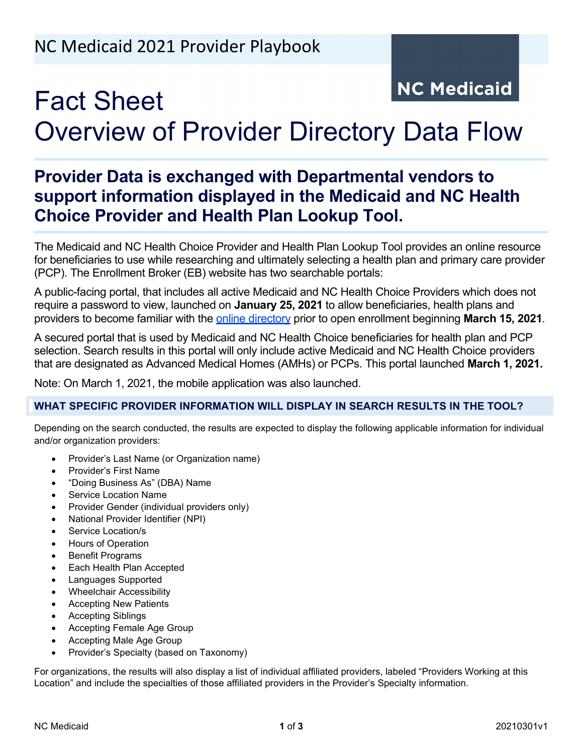# **NC Medicaid** Fact Sheet Overview of Provider Directory Data Flow

# **Provider Data is exchanged with Departmental vendors to support information displayed in the Medicaid and NC Health Choice Provider and Health Plan Lookup Tool.**

The Medicaid and NC Health Choice Provider and Health Plan Lookup Tool provides an online resource for beneficiaries to use while researching and ultimately selecting a health plan and primary care provider (PCP). The Enrollment Broker (EB) website has two searchable portals:

A public-facing portal, that includes all active Medicaid and NC Health Choice Providers which does not require a password to view, launched on **January 25, 2021** to allow beneficiaries, health plans and providers to become familiar with the [online directory](https://ncmedicaidplans.gov/enroll/online/find/find-provider) prior to open enrollment beginning **March 15, 2021***.* 

A secured portal that is used by Medicaid and NC Health Choice beneficiaries for health plan and PCP selection. Search results in this portal will only include active Medicaid and NC Health Choice providers that are designated as Advanced Medical Homes (AMHs) or PCPs. This portal launched **March 1, 2021.**

Note: On March 1, 2021, the mobile application was also launched.

## **WHAT SPECIFIC PROVIDER INFORMATION WILL DISPLAY IN SEARCH RESULTS IN THE TOOL?**

Depending on the search conducted, the results are expected to display the following applicable information for individual and/or organization providers:

- Provider's Last Name (or Organization name)
- Provider's First Name
- "Doing Business As" (DBA) Name
- Service Location Name
- Provider Gender (individual providers only)
- National Provider Identifier (NPI)
- Service Location/s
- Hours of Operation
- **Benefit Programs**
- Each Health Plan Accepted
- Languages Supported
- Wheelchair Accessibility
- Accepting New Patients
- Accepting Siblings
- Accepting Female Age Group
- Accepting Male Age Group
- Provider's Specialty (based on Taxonomy)

For organizations, the results will also display a list of individual affiliated providers, labeled "Providers Working at this Location" and include the specialties of those affiliated providers in the Provider's Specialty information.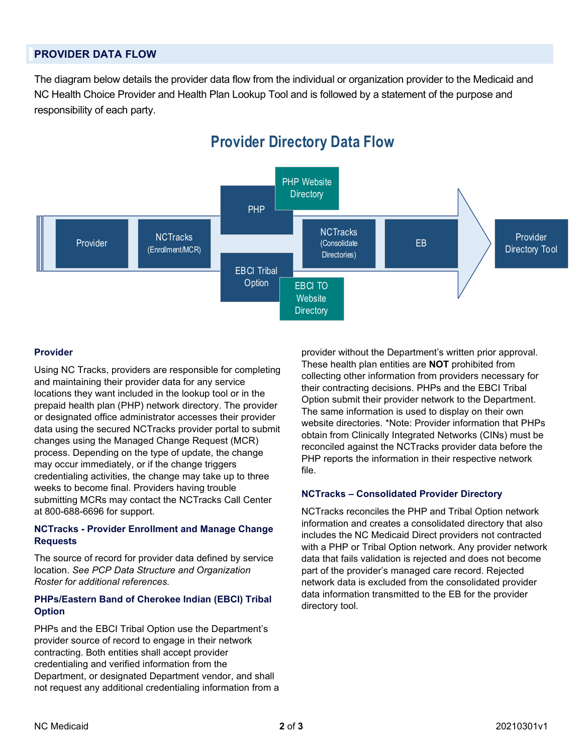### **PROVIDER DATA FLOW**

The diagram below details the provider data flow from the individual or organization provider to the Medicaid and NC Health Choice Provider and Health Plan Lookup Tool and is followed by a statement of the purpose and responsibility of each party.



# **Provider Directory Data Flow**

#### **Provider**

Using NC Tracks, providers are responsible for completing and maintaining their provider data for any service locations they want included in the lookup tool or in the prepaid health plan (PHP) network directory. The provider or designated office administrator accesses their provider data using the secured NCTracks provider portal to submit changes using the Managed Change Request (MCR) process. Depending on the type of update, the change may occur immediately, or if the change triggers credentialing activities, the change may take up to three weeks to become final. Providers having trouble submitting MCRs may contact the NCTracks Call Center at 800-688-6696 for support.

#### **NCTracks - Provider Enrollment and Manage Change Requests**

The source of record for provider data defined by service location. *See PCP Data Structure and Organization Roster for additional references.*

#### **PHPs/Eastern Band of Cherokee Indian (EBCI) Tribal Option**

PHPs and the EBCI Tribal Option use the Department's provider source of record to engage in their network contracting. Both entities shall accept provider credentialing and verified information from the Department, or designated Department vendor, and shall not request any additional credentialing information from a provider without the Department's written prior approval. These health plan entities are **NOT** prohibited from collecting other information from providers necessary for their contracting decisions. PHPs and the EBCI Tribal Option submit their provider network to the Department. The same information is used to display on their own website directories. \*Note: Provider information that PHPs obtain from Clinically Integrated Networks (CINs) must be reconciled against the NCTracks provider data before the PHP reports the information in their respective network file.

#### **NCTracks – Consolidated Provider Directory**

NCTracks reconciles the PHP and Tribal Option network information and creates a consolidated directory that also includes the NC Medicaid Direct providers not contracted with a PHP or Tribal Option network. Any provider network data that fails validation is rejected and does not become part of the provider's managed care record. Rejected network data is excluded from the consolidated provider data information transmitted to the EB for the provider directory tool.